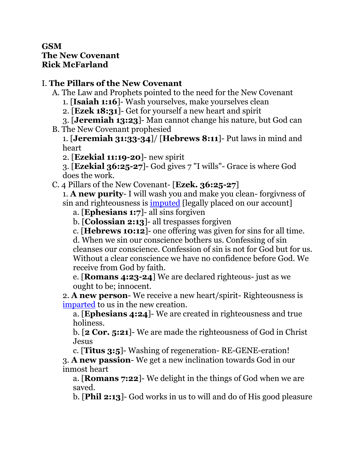## **GSM The New Covenant Rick McFarland**

## I. **The Pillars of the New Covenant**

- A. The Law and Prophets pointed to the need for the New Covenant
	- 1. [**Isaiah 1:16**]- Wash yourselves, make yourselves clean
	- 2. [**Ezek 18:31**]- Get for yourself a new heart and spirit
	- 3. [**Jeremiah 13:23**]- Man cannot change his nature, but God can
- B. The New Covenant prophesied

1. [**Jeremiah 31:33-34**]/ [**Hebrews 8:11**]- Put laws in mind and heart

2. [**Ezekial 11:19-20**]- new spirit

3. [**Ezekial 36:25-27**]- God gives 7 "I wills"- Grace is where God does the work.

C. 4 Pillars of the New Covenant- [**Ezek. 36:25-27**]

1. **A new purity**- I will wash you and make you clean- forgivness of sin and righteousness is <u>imputed</u> [legally placed on our account]

a. [**Ephesians 1:7**]- all sins forgiven

b. [**Colossian 2:13**]- all trespasses forgiven

c. [**Hebrews 10:12**]- one offering was given for sins for all time.

d. When we sin our conscience bothers us. Confessing of sin cleanses our conscience. Confession of sin is not for God but for us. Without a clear conscience we have no confidence before God. We receive from God by faith.

e. [**Romans 4:23-24**] We are declared righteous- just as we ought to be; innocent.

2. **A new person**- We receive a new heart/spirit- Righteousness is imparted to us in the new creation.

a. [**Ephesians 4:24**]- We are created in righteousness and true holiness.

b. [**2 Cor. 5:21**]- We are made the righteousness of God in Christ Jesus

c. [**Titus 3:5**]- Washing of regeneration- RE-GENE-eration! 3. **A new passion**- We get a new inclination towards God in our inmost heart

a. [**Romans 7:22**]- We delight in the things of God when we are saved.

b. [**Phil 2:13**]- God works in us to will and do of His good pleasure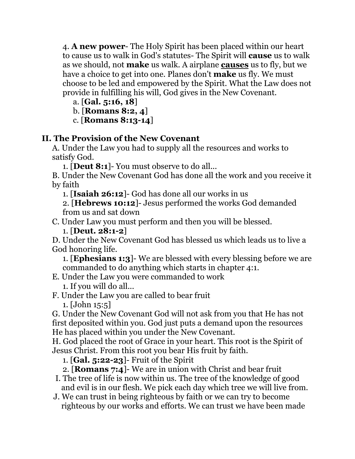4. **A new power**- The Holy Spirit has been placed within our heart to cause us to walk in God's statutes- The Spirit will **cause** us to walk as we should, not **make** us walk. A airplane **causes** us to fly, but we have a choice to get into one. Planes don't **make** us fly. We must choose to be led and empowered by the Spirit. What the Law does not provide in fulfilling his will, God gives in the New Covenant.

a. [**Gal. 5:16, 18**]

b. [**Romans 8:2, 4**]

c. [**Romans 8:13-14**]

## **II. The Provision of the New Covenant**

A. Under the Law you had to supply all the resources and works to satisfy God.

1. [**Deut 8:1**]- You must observe to do all...

B. Under the New Covenant God has done all the work and you receive it by faith

1. [**Isaiah 26:12**]- God has done all our works in us

2. [**Hebrews 10:12**]- Jesus performed the works God demanded from us and sat down

C. Under Law you must perform and then you will be blessed.

1. [**Deut. 28:1-2**]

D. Under the New Covenant God has blessed us which leads us to live a God honoring life.

1. [**Ephesians 1:3**]- We are blessed with every blessing before we are commanded to do anything which starts in chapter 4:1.

E. Under the Law you were commanded to work

1. If you will do all...

F. Under the Law you are called to bear fruit 1. [John 15:5]

G. Under the New Covenant God will not ask from you that He has not first deposited within you. God just puts a demand upon the resources He has placed within you under the New Covenant.

H. God placed the root of Grace in your heart. This root is the Spirit of Jesus Christ. From this root you bear His fruit by faith.

1. [**Gal. 5:22-23**]- Fruit of the Spirit

- 2. [**Romans 7:4**]- We are in union with Christ and bear fruit
- I. The tree of life is now within us. The tree of the knowledge of good and evil is in our flesh. We pick each day which tree we will live from.
- J. We can trust in being righteous by faith or we can try to become righteous by our works and efforts. We can trust we have been made